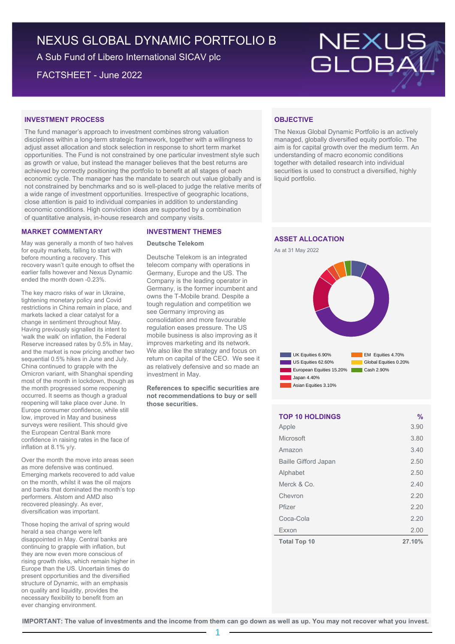# NEXUS GLOBAL DYNAMIC PORTFOLIO B

A Sub Fund of Libero International SICAV plc

FACTSHEET - June 2022

# NEXUS<br>GLOBAI

# **INVESTMENT PROCESS**

The fund manager's approach to investment combines strong valuation disciplines within a long-term strategic framework, together with a willingness to adjust asset allocation and stock selection in response to short term market opportunities. The Fund is not constrained by one particular investment style such as growth or value, but instead the manager believes that the best returns are achieved by correctly positioning the portfolio to benefit at all stages of each economic cycle. The manager has the mandate to search out value globally and is not constrained by benchmarks and so is well-placed to judge the relative merits of a wide range of investment opportunities. Irrespective of geographic locations, close attention is paid to individual companies in addition to understanding economic conditions. High conviction ideas are supported by a combination of quantitative analysis, in-house research and company visits.

# **MARKET COMMENTARY**

May was generally a month of two halves for equity markets, falling to start with before mounting a recovery. This recovery wasn't quite enough to offset the earlier falls however and Nexus Dynamic ended the month down -0.23%.

The key macro risks of war in Ukraine, tightening monetary policy and Covid restrictions in China remain in place, and markets lacked a clear catalyst for a change in sentiment throughout May. Having previously signalled its intent to 'walk the walk' on inflation, the Federal Reserve increased rates by 0.5% in May, and the market is now pricing another two sequential 0.5% hikes in June and July. China continued to grapple with the Omicron variant, with Shanghai spending most of the month in lockdown, though as the month progressed some reopening occurred. It seems as though a gradual reopening will take place over June. In Europe consumer confidence, while still low, improved in May and business surveys were resilient. This should give the European Central Bank more confidence in raising rates in the face of inflation at 8.1% y/y.

Over the month the move into areas seen as more defensive was continued. Emerging markets recovered to add value on the month, whilst it was the oil majors and banks that dominated the month's top performers. Alstom and AMD also recovered pleasingly. As ever, diversification was important.

Those hoping the arrival of spring would herald a sea change were left disappointed in May. Central banks are continuing to grapple with inflation, but they are now even more conscious of rising growth risks, which remain higher in Europe than the US. Uncertain times do present opportunities and the diversified structure of Dynamic, with an emphasis on quality and liquidity, provides the necessary flexibility to benefit from an ever changing environment.

# **INVESTMENT THEMES**

#### **Deutsche Telekom**

Deutsche Telekom is an integrated telecom company with operations in Germany, Europe and the US. The Company is the leading operator in Germany, is the former incumbent and owns the T-Mobile brand. Despite a tough regulation and competition we see Germany improving as consolidation and more favourable regulation eases pressure. The US mobile business is also improving as it improves marketing and its network. We also like the strategy and focus on return on capital of the CEO. We see it as relatively defensive and so made an investment in May.

**References to specific securities are not recommendations to buy or sell those securities.**

# **OBJECTIVE**

The Nexus Global Dynamic Portfolio is an actively managed, globally diversified equity portfolio. The aim is for capital growth over the medium term. An understanding of macro economic conditions together with detailed research into individual securities is used to construct a diversified, highly liquid portfolio.

# **ASSET ALLOCATION**





| <b>TOP 10 HOLDINGS</b>      | $\frac{0}{0}$ |
|-----------------------------|---------------|
| Apple                       | 3.90          |
| Microsoft                   | 3.80          |
| Amazon                      | 3.40          |
| <b>Baille Gifford Japan</b> | 2.50          |
| Alphabet                    | 2.50          |
| Merck & Co.                 | 2.40          |
| Chevron                     | 2.20          |
| Pfizer                      | 2.20          |
| Coca-Cola                   | 2.20          |
| Exxon                       | 2.00          |
| <b>Total Top 10</b>         | 27.10%        |

**IMPORTANT: The value of investments and the income from them can go down as well as up. You may not recover what you invest.**

1